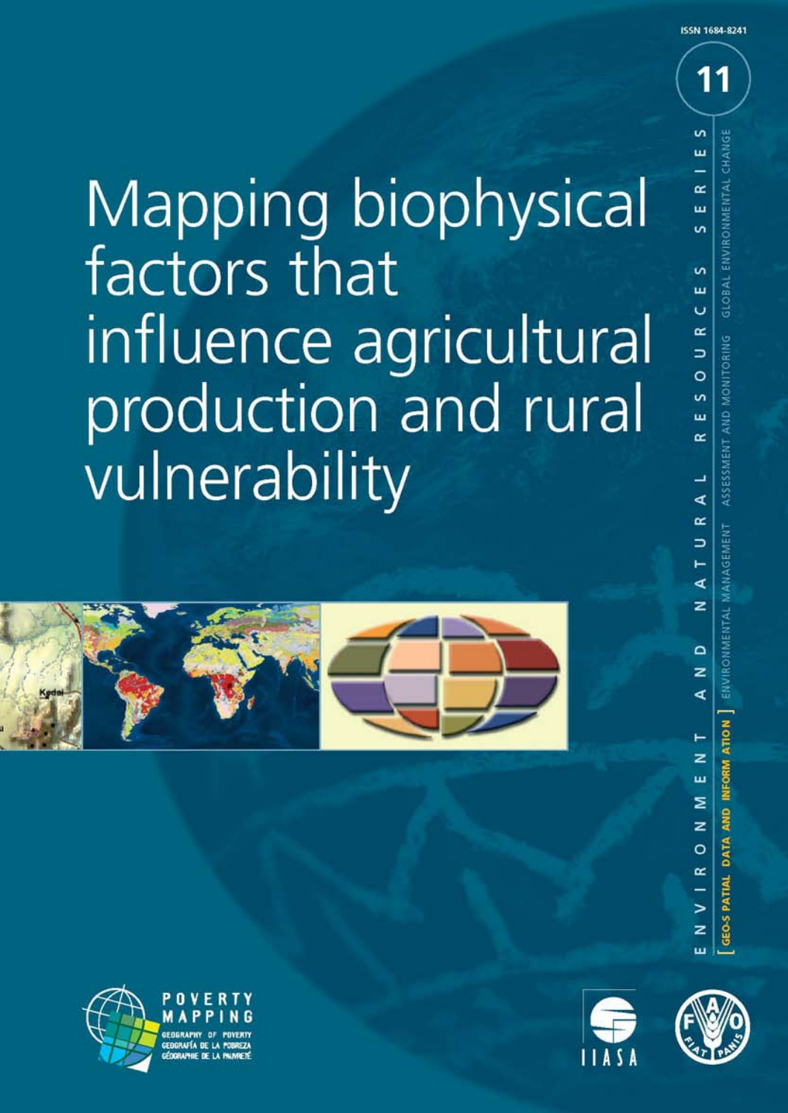Mapping biophysical factors that influence agricultural production and rural vulnerability









**ISSN 1684-8241**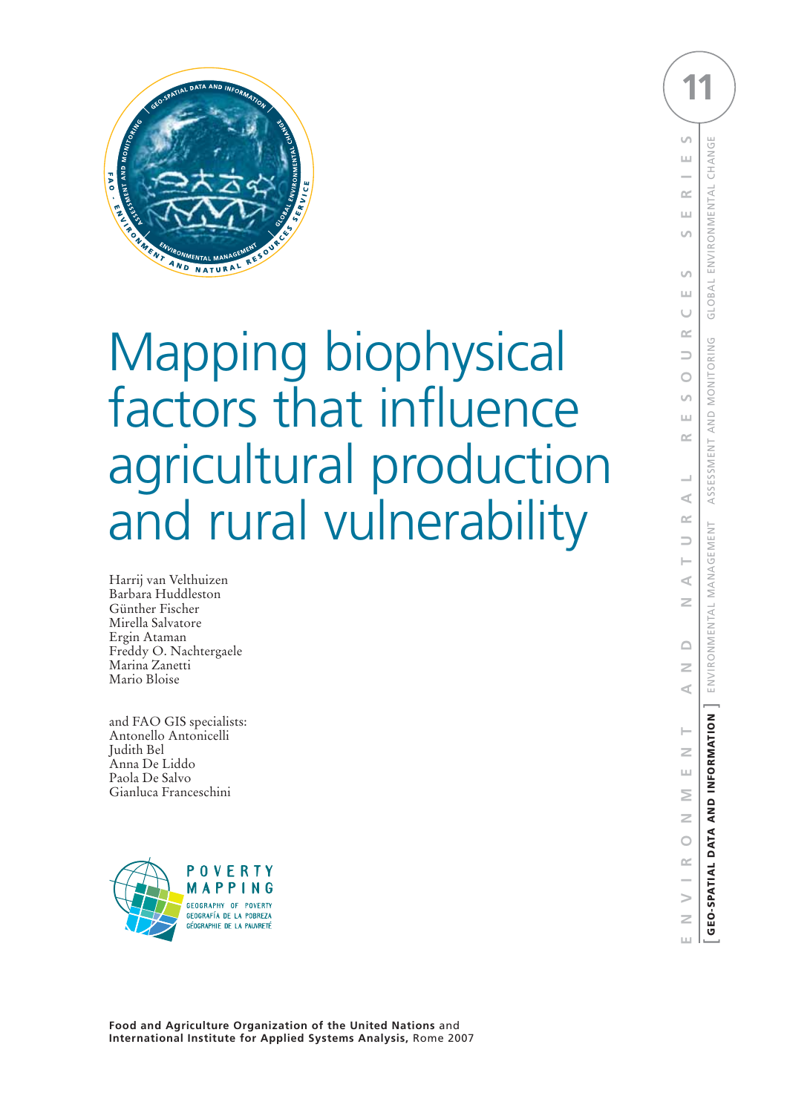

# Mapping biophysical factors that influence agricultural production and rural vulnerability

Harrij van Velthuizen Barbara Huddleston Günther Fischer Mirella Salvatore Ergin Ataman Freddy O. Nachtergaele Marina Zanetti Mario Bloise

and FAO GIS specialists: Antonello Antonicelli Judith Bel Anna De Liddo Paola De Salvo Gianluca Franceschini



**11** $\cup$ E N V I R O N M E N T A N D N A T U R A L R E S O U R C E S S E R 1 E S<br>[ **geo-spatial data and information** ] environmental management assessment and monitoring global environmental change CHANG  $\mathbf{L}$ ENVIRONMENTAL œ  $\mathbf{L} \mathbf{L}$  $\cup$  $\cup$ GLOBAL ШJ Ū  $\sim$ ASSESSMENT AND MONITORING  $\Rightarrow$  $\bigcirc$  $\cup$  $\pm 1$  $\cong$  $\prec$  $\leq$ ENVIRONMENTAL MANAGEMENT  $\Rightarrow$  $\prec$  $\geq$  $\triangle$  $\geq$  $\leq$ GEO-SPATIAL DATA AND INFORMATION  $\overline{z}$  $\bar{\Xi}$ Σ  $\geq$  $\overline{O}$  $\approx$  $\geq$  $\geq$  $\pm 1$ 

**Food and Agriculture Organization of the United Nations** and **International Institute for Applied Systems Analysis,** Rome 2007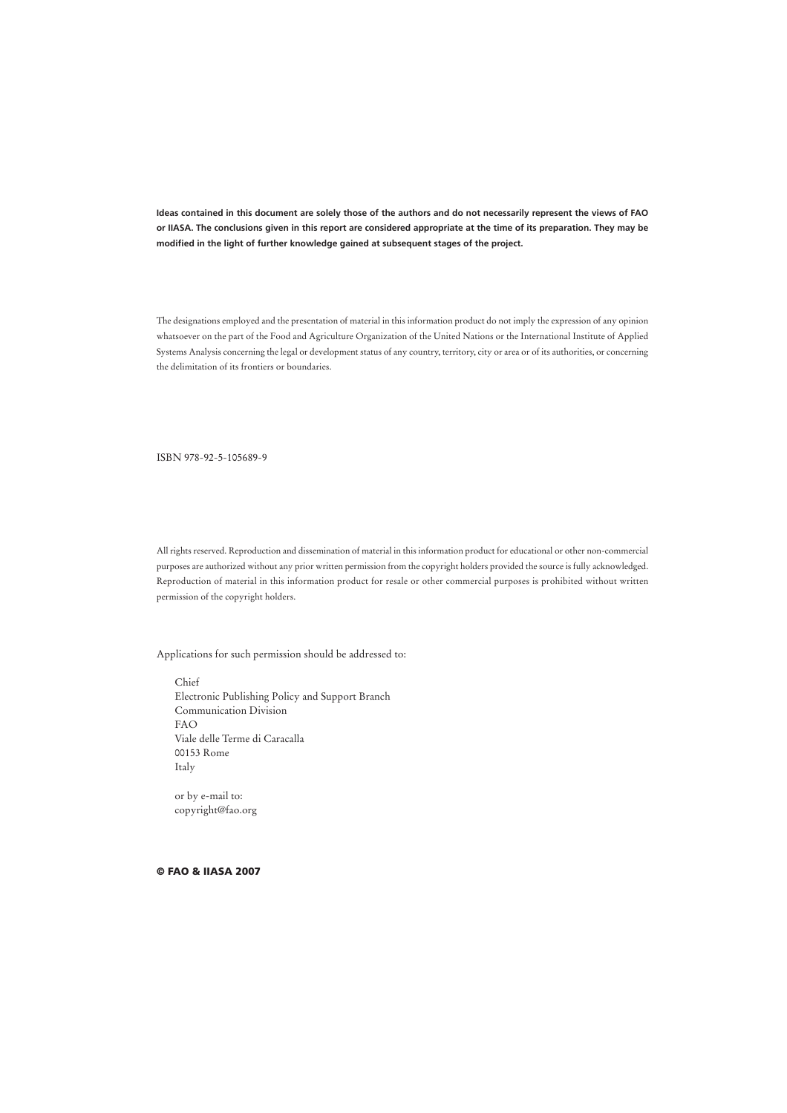**Ideas contained in this document are solely those of the authors and do not necessarily represent the views of FAO or IIASA. The conclusions given in this report are considered appropriate at the time of its preparation. They may be modified in the light of further knowledge gained at subsequent stages of the project.**

The designations employed and the presentation of material in this information product do not imply the expression of any opinion whatsoever on the part of the Food and Agriculture Organization of the United Nations or the International Institute of Applied Systems Analysis concerning the legal or development status of any country, territory, city or area or of its authorities, or concerning the delimitation of its frontiers or boundaries.

ISBN 978-92-5-105689-9

All rights reserved. Reproduction and dissemination of material in this information product for educational or other non-commercial purposes are authorized without any prior written permission from the copyright holders provided the source is fully acknowledged. Reproduction of material in this information product for resale or other commercial purposes is prohibited without written permission of the copyright holders.

Applications for such permission should be addressed to:

Chief Electronic Publishing Policy and Support Branch Communication Division FAO Viale delle Terme di Caracalla 00153 Rome Italy

or by e-mail to: copyright@fao.org

**© FAO & IIASA 2007**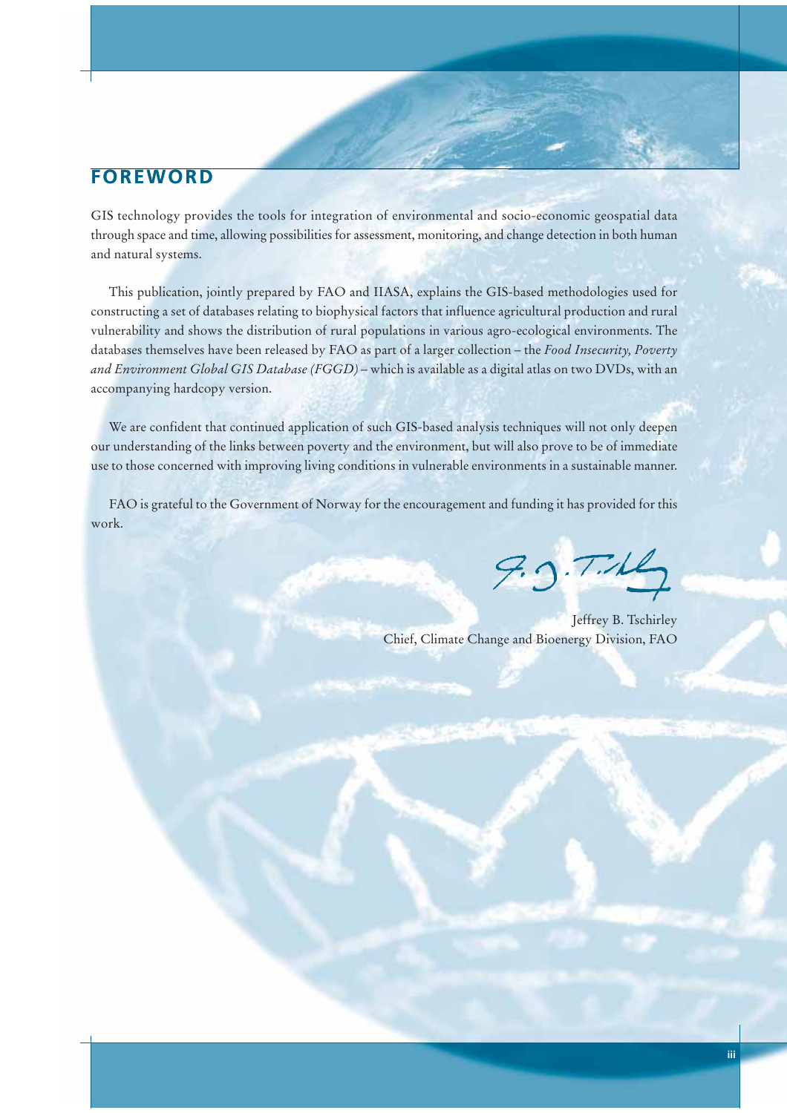# **FOREWORD**

GIS technology provides the tools for integration of environmental and socio-economic geospatial data through space and time, allowing possibilities for assessment, monitoring, and change detection in both human and natural systems.

This publication, jointly prepared by FAO and IIASA, explains the GIS-based methodologies used for constructing a set of databases relating to biophysical factors that influence agricultural production and rural vulnerability and shows the distribution of rural populations in various agro-ecological environments. The databases themselves have been released by FAO as part of a larger collection – the *Food Insecurity, Poverty and Environment Global GIS Database (FGGD)* – which is available as a digital atlas on two DVDs, with an accompanying hardcopy version.

We are confident that continued application of such GIS-based analysis techniques will not only deepen our understanding of the links between poverty and the environment, but will also prove to be of immediate use to those concerned with improving living conditions in vulnerable environments in a sustainable manner.

FAO is grateful to the Government of Norway for the encouragement and funding it has provided for this work.

 $9.3.7.46$ 

Jeffrey B. Tschirley Chief, Climate Change and Bioenergy Division, FAO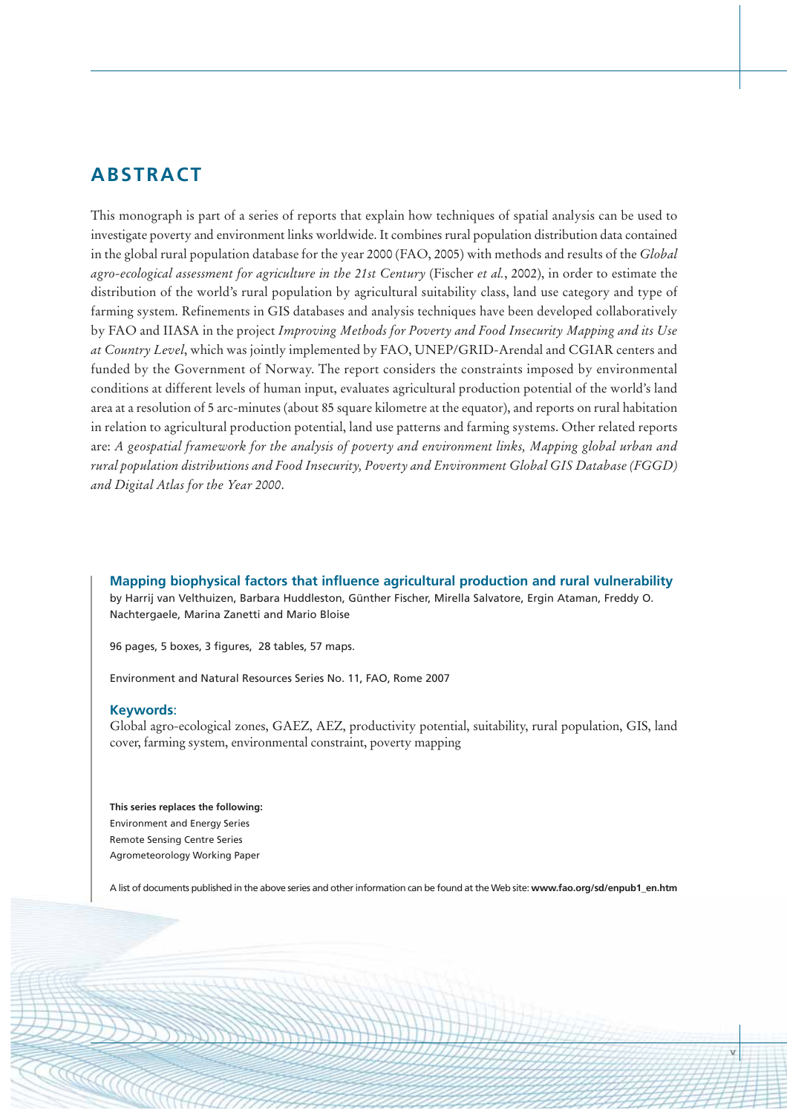# **ABSTRACT**

This monograph is part of a series of reports that explain how techniques of spatial analysis can be used to investigate poverty and environment links worldwide. It combines rural population distribution data contained in the global rural population database for the year 2000 (FAO, 2005) with methods and results of the *Global agro-ecological assessment for agriculture in the 21st Century* (Fischer *et al.*, 2002), in order to estimate the distribution of the world's rural population by agricultural suitability class, land use category and type of farming system. Refinements in GIS databases and analysis techniques have been developed collaboratively by FAO and IIASA in the project *Improving Methods for Poverty and Food Insecurity Mapping and its Use at Country Level*, which was jointly implemented by FAO, UNEP/GRID-Arendal and CGIAR centers and funded by the Government of Norway. The report considers the constraints imposed by environmental conditions at different levels of human input, evaluates agricultural production potential of the world's land area at a resolution of 5 arc-minutes (about 85 square kilometre at the equator), and reports on rural habitation in relation to agricultural production potential, land use patterns and farming systems. Other related reports are: *A geospatial framework for the analysis of poverty and environment links, Mapping global urban and rural population distributions and Food Insecurity, Poverty and Environment Global GIS Database (FGGD) and Digital Atlas for the Year 2000*.

**Mapping biophysical factors that influence agricultural production and rural vulnerability**

by Harrij van Velthuizen, Barbara Huddleston, Günther Fischer, Mirella Salvatore, Ergin Ataman, Freddy O. Nachtergaele, Marina Zanetti and Mario Bloise

96 pages, 5 boxes, 3 figures, 28 tables, 57 maps.

Environment and Natural Resources Series No. 11, FAO, Rome 2007

### **Keywords**:

Global agro-ecological zones, GAEZ, AEZ, productivity potential, suitability, rural population, GIS, land cover, farming system, environmental constraint, poverty mapping

**This series replaces the following:** Environment and Energy Series Remote Sensing Centre Series Agrometeorology Working Paper

A list of documents published in the above series and other information can be found at the Web site: **www.fao.org/sd/enpub1\_en.htm**

**v**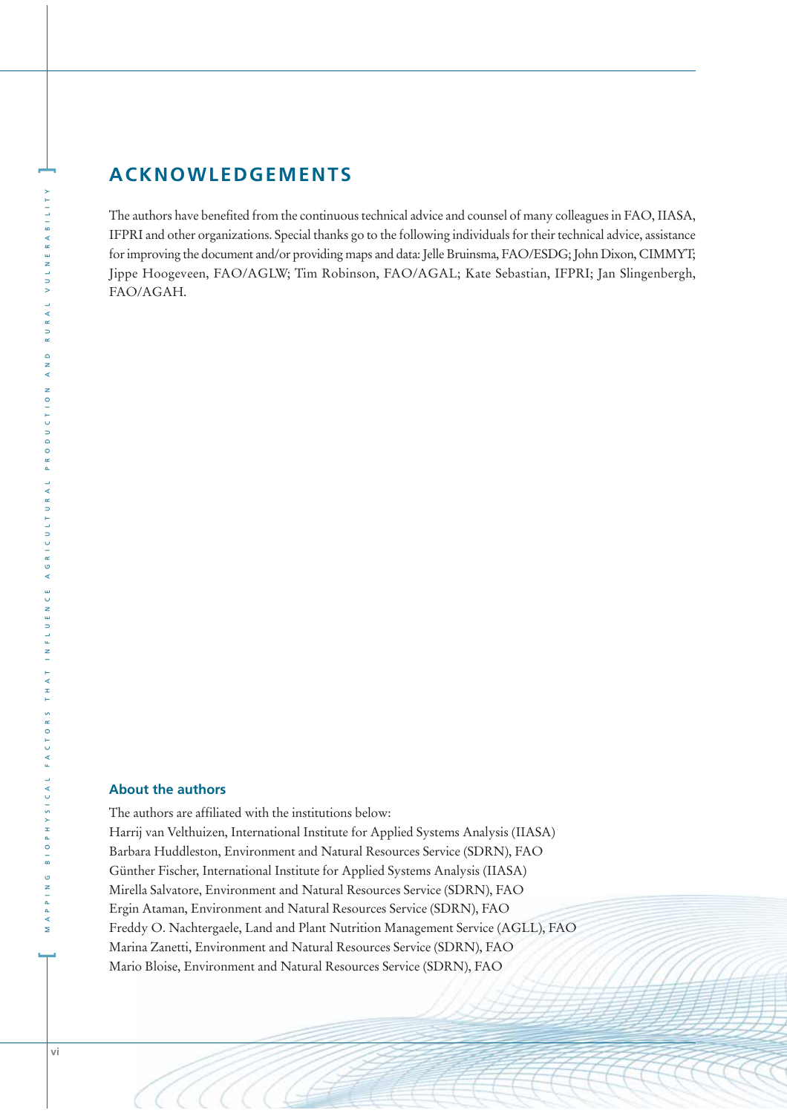# **ACKNOWLEDGEMENTS**

The authors have benefited from the continuous technical advice and counsel of many colleagues in FAO, IIASA, IFPRI and other organizations. Special thanks go to the following individuals for their technical advice, assistance for improving the document and/or providing maps and data: Jelle Bruinsma, FAO/ESDG; John Dixon, CIMMYT; Jippe Hoogeveen, FAO/AGLW; Tim Robinson, FAO/AGAL; Kate Sebastian, IFPRI; Jan Slingenbergh, FAO/AGAH.

# **About the authors**

The authors are affiliated with the institutions below: Harrij van Velthuizen, International Institute for Applied Systems Analysis (IIASA) Barbara Huddleston, Environment and Natural Resources Service (SDRN), FAO Günther Fischer, International Institute for Applied Systems Analysis (IIASA) Mirella Salvatore, Environment and Natural Resources Service (SDRN), FAO Ergin Ataman, Environment and Natural Resources Service (SDRN), FAO Freddy O. Nachtergaele, Land and Plant Nutrition Management Service (AGLL), FAO Marina Zanetti, Environment and Natural Resources Service (SDRN), FAO Mario Bloise, Environment and Natural Resources Service (SDRN), FAO

**]**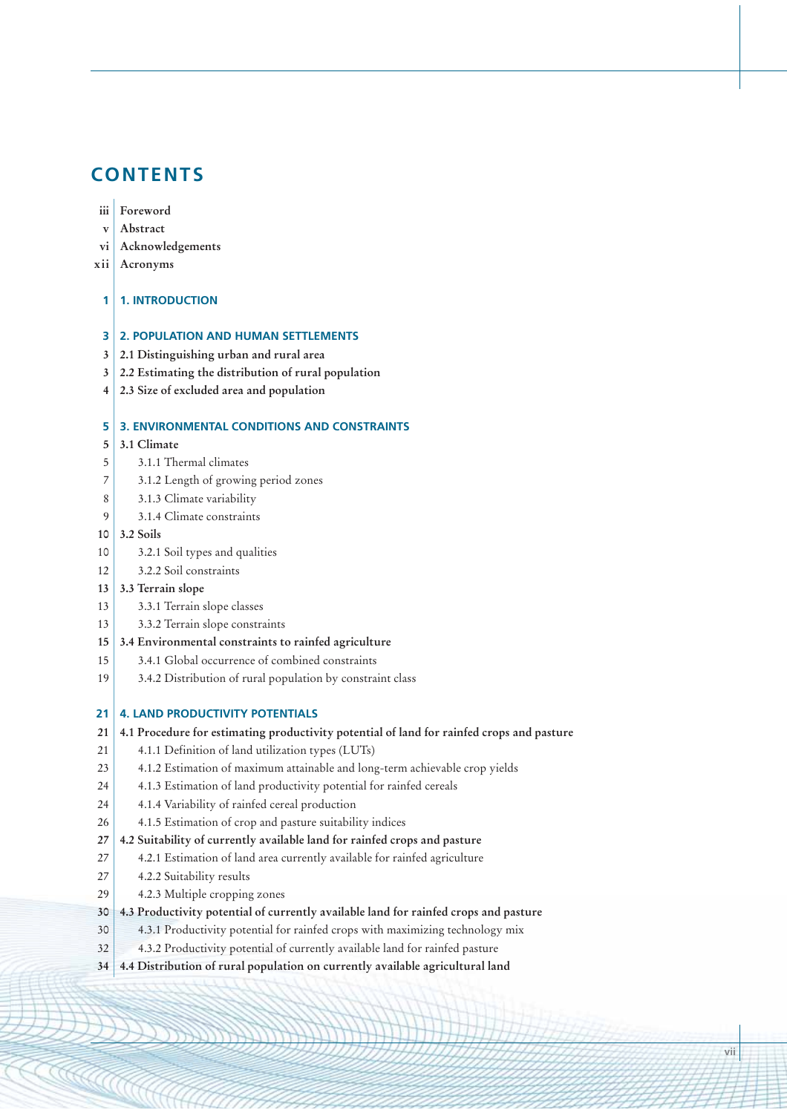# **CONTENTS**

### **iii Foreword**

- **v Abstract**
- **vi Acknowledgements**
- **xii Acronyms**

#### **1 1. INTRODUCTION**

# **3 2. POPULATION AND HUMAN SETTLEMENTS**

- **3 2.1 Distinguishing urban and rural area**
- **3 2.2 Estimating the distribution of rural population**
- **4 2.3 Size of excluded area and population**

# **5 3. ENVIRONMENTAL CONDITIONS AND CONSTRAINTS**

#### **5 3.1 Climate**

- 5 3.1.1 Thermal climates
- 7 3.1.2 Length of growing period zones
- 8 3.1.3 Climate variability
- 9 3.1.4 Climate constraints
- **10 3.2 Soils**
- 10 3.2.1 Soil types and qualities
- 12 3.2.2 Soil constraints
- **13 3.3 Terrain slope**
- 13 3.3.1 Terrain slope classes
- 13 3.3.2 Terrain slope constraints
- **15 3.4 Environmental constraints to rainfed agriculture**
- 15 3.4.1 Global occurrence of combined constraints
- 19 3.4.2 Distribution of rural population by constraint class

#### **21 4. LAND PRODUCTIVITY POTENTIALS**

#### **21 4.1 Procedure for estimating productivity potential of land for rainfed crops and pasture**

- 21 4.1.1 Definition of land utilization types (LUTs)
- 23 4.1.2 Estimation of maximum attainable and long-term achievable crop yields
- 24 4.1.3 Estimation of land productivity potential for rainfed cereals
- 24 4.1.4 Variability of rainfed cereal production
- 26 4.1.5 Estimation of crop and pasture suitability indices
- **27 4.2 Suitability of currently available land for rainfed crops and pasture**
- 27 4.2.1 Estimation of land area currently available for rainfed agriculture
- 27 4.2.2 Suitability results
- 29 4.2.3 Multiple cropping zones
- **30 4.3 Productivity potential of currently available land for rainfed crops and pasture**
- 30 4.3.1 Productivity potential for rainfed crops with maximizing technology mix
- 32 4.3.2 Productivity potential of currently available land for rainfed pasture
- **34 4.4 Distribution of rural population on currently available agricultural land**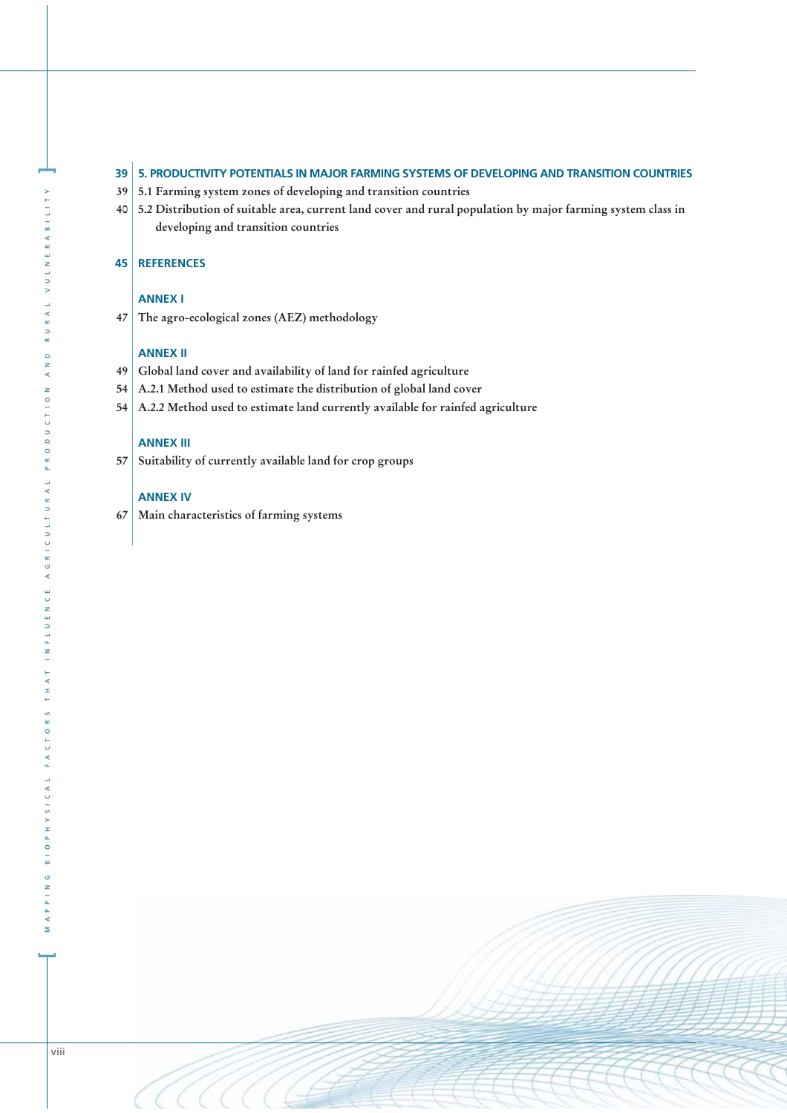### **39 5. PRODUCTIVITY POTENTIALS IN MAJOR FARMING SYSTEMS OF DEVELOPING AND TRANSITION COUNTRIES**

- **39 5.1 Farming system zones of developing and transition countries**
- **40 5.2 Distribution of suitable area, current land cover and rural population by major farming system class in developing and transition countries**

### **45 REFERENCES**

# **ANNEX I**

**47 The agro-ecological zones (AEZ) methodology** 

### **ANNEX II**

- **49 Global land cover and availability of land for rainfed agriculture**
- **54 A.2.1 Method used to estimate the distribution of global land cover**
- **54 A.2.2 Method used to estimate land currently available for rainfed agriculture**

# **ANNEX III**

**57 Suitability of currently available land for crop groups** 

### **ANNEX IV**

**67 Main characteristics of farming systems**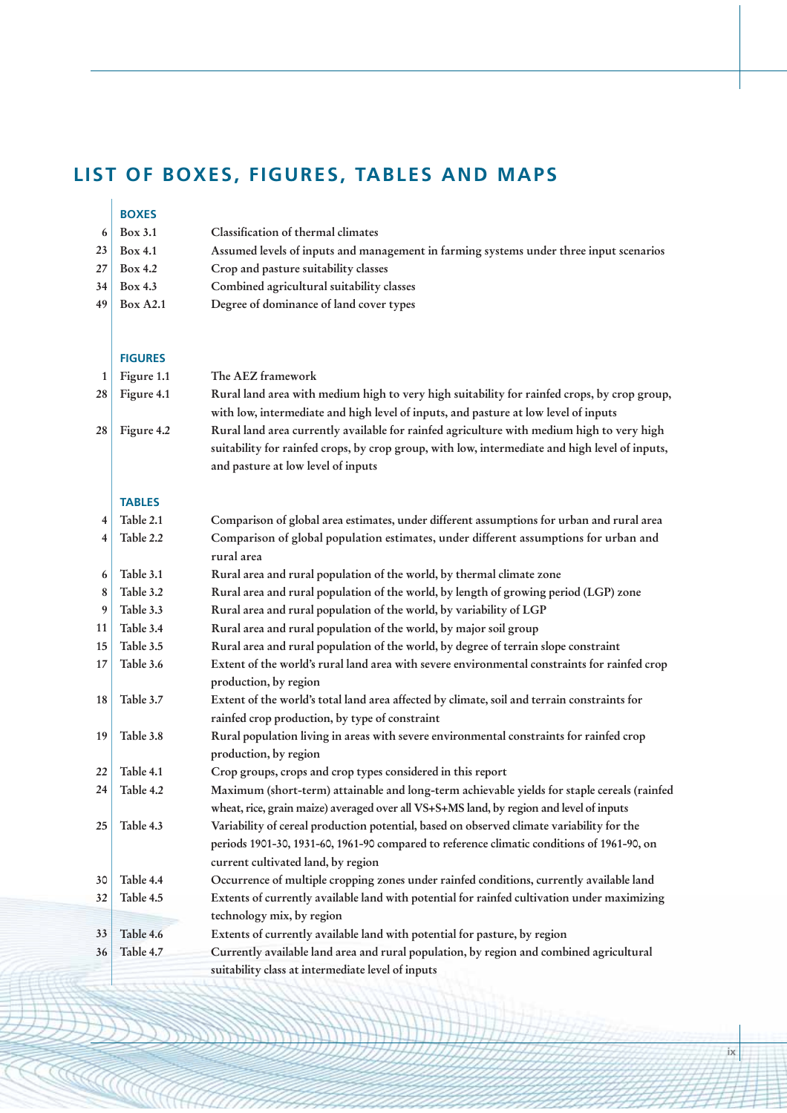# **LIST OF BOXES, FIGURES, TABLES AND MAPS**

|         | <b>BOXES</b><br>Box 3.1 | Classification of thermal climates                                                                                                                                                   |
|---------|-------------------------|--------------------------------------------------------------------------------------------------------------------------------------------------------------------------------------|
| 6<br>23 | <b>Box 4.1</b>          |                                                                                                                                                                                      |
| 27      | Box 4.2                 | Assumed levels of inputs and management in farming systems under three input scenarios<br>Crop and pasture suitability classes                                                       |
| 34      | Box 4.3                 | Combined agricultural suitability classes                                                                                                                                            |
| 49      | <b>Box A2.1</b>         | Degree of dominance of land cover types                                                                                                                                              |
|         |                         |                                                                                                                                                                                      |
|         |                         |                                                                                                                                                                                      |
|         | <b>FIGURES</b>          |                                                                                                                                                                                      |
| 1       | Figure 1.1              | The AEZ framework                                                                                                                                                                    |
| 28      | Figure 4.1              | Rural land area with medium high to very high suitability for rainfed crops, by crop group,                                                                                          |
|         |                         | with low, intermediate and high level of inputs, and pasture at low level of inputs                                                                                                  |
| 28      | Figure 4.2              | Rural land area currently available for rainfed agriculture with medium high to very high                                                                                            |
|         |                         | suitability for rainfed crops, by crop group, with low, intermediate and high level of inputs,                                                                                       |
|         |                         | and pasture at low level of inputs                                                                                                                                                   |
|         |                         |                                                                                                                                                                                      |
|         | <b>TABLES</b>           |                                                                                                                                                                                      |
| 4       | Table 2.1               | Comparison of global area estimates, under different assumptions for urban and rural area                                                                                            |
| 4       | Table 2.2               | Comparison of global population estimates, under different assumptions for urban and                                                                                                 |
|         |                         | rural area                                                                                                                                                                           |
| 6       | Table 3.1               | Rural area and rural population of the world, by thermal climate zone                                                                                                                |
| 8       | Table 3.2               | Rural area and rural population of the world, by length of growing period (LGP) zone                                                                                                 |
| 9       | Table 3.3               | Rural area and rural population of the world, by variability of LGP                                                                                                                  |
| 11      | Table 3.4               | Rural area and rural population of the world, by major soil group                                                                                                                    |
| 15      | Table 3.5               | Rural area and rural population of the world, by degree of terrain slope constraint                                                                                                  |
| 17      | Table 3.6               | Extent of the world's rural land area with severe environmental constraints for rainfed crop                                                                                         |
|         |                         | production, by region                                                                                                                                                                |
| 18      | Table 3.7               | Extent of the world's total land area affected by climate, soil and terrain constraints for                                                                                          |
|         |                         | rainfed crop production, by type of constraint                                                                                                                                       |
| 19      | Table 3.8               | Rural population living in areas with severe environmental constraints for rainfed crop                                                                                              |
|         |                         | production, by region                                                                                                                                                                |
| 22      | Table 4.1               | Crop groups, crops and crop types considered in this report                                                                                                                          |
| 24      | Table 4.2               | Maximum (short-term) attainable and long-term achievable yields for staple cereals (rainfed                                                                                          |
| 25      | Table 4.3               | wheat, rice, grain maize) averaged over all VS+S+MS land, by region and level of inputs<br>Variability of cereal production potential, based on observed climate variability for the |
|         |                         | periods 1901-30, 1931-60, 1961-90 compared to reference climatic conditions of 1961-90, on                                                                                           |
|         |                         | current cultivated land, by region                                                                                                                                                   |
| 30      | Table 4.4               | Occurrence of multiple cropping zones under rainfed conditions, currently available land                                                                                             |
| 32      | Table 4.5               | Extents of currently available land with potential for rainfed cultivation under maximizing                                                                                          |
|         |                         | technology mix, by region                                                                                                                                                            |
| 33      | Table 4.6               | Extents of currently available land with potential for pasture, by region                                                                                                            |
| 36      | Table 4.7               | Currently available land area and rural population, by region and combined agricultural                                                                                              |
|         |                         | suitability class at intermediate level of inputs                                                                                                                                    |
|         |                         |                                                                                                                                                                                      |

**CONTROLLER**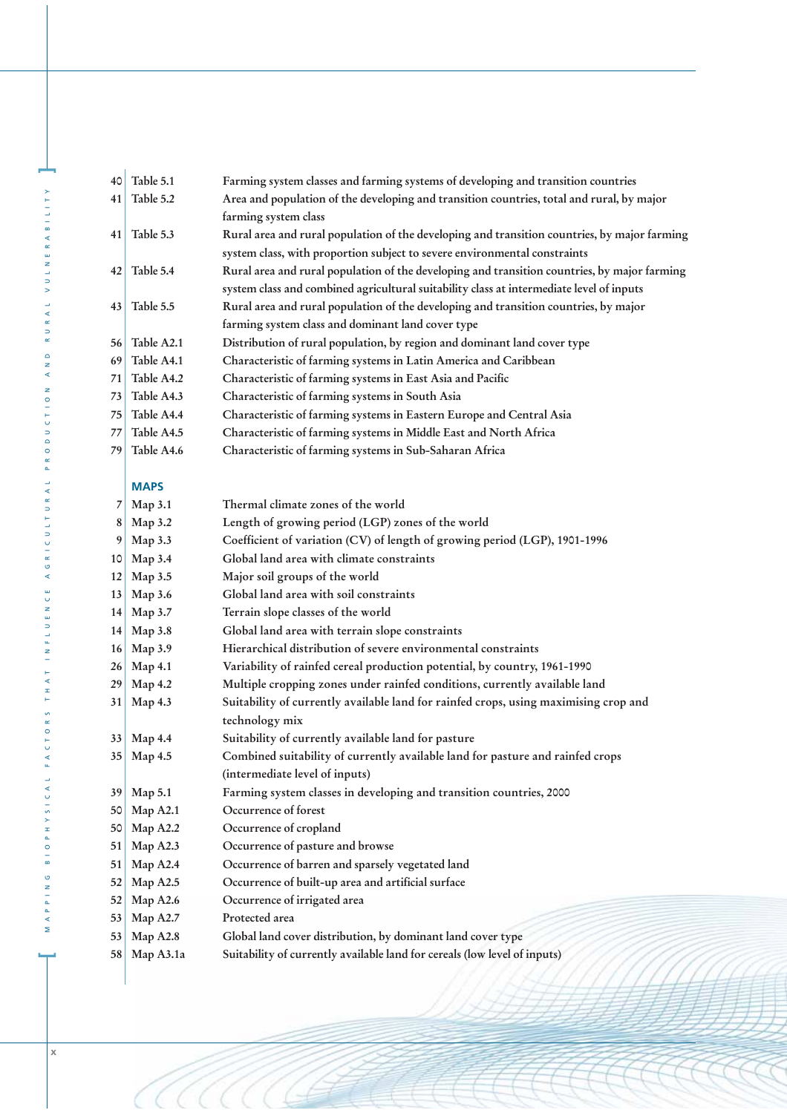| 40       | Table 5.1            | Farming system classes and farming systems of developing and transition countries                      |
|----------|----------------------|--------------------------------------------------------------------------------------------------------|
| 41       | Table 5.2            | Area and population of the developing and transition countries, total and rural, by major              |
|          |                      | farming system class                                                                                   |
| 41       | Table 5.3            | Rural area and rural population of the developing and transition countries, by major farming           |
|          |                      | system class, with proportion subject to severe environmental constraints                              |
| 42       | Table 5.4            | Rural area and rural population of the developing and transition countries, by major farming           |
|          |                      | system class and combined agricultural suitability class at intermediate level of inputs               |
| 43       | Table 5.5            | Rural area and rural population of the developing and transition countries, by major                   |
|          |                      | farming system class and dominant land cover type                                                      |
| 56       | Table A2.1           | Distribution of rural population, by region and dominant land cover type                               |
| 69       | Table A4.1           | Characteristic of farming systems in Latin America and Caribbean                                       |
| 71       | Table A4.2           | Characteristic of farming systems in East Asia and Pacific                                             |
| 73       | Table A4.3           | Characteristic of farming systems in South Asia                                                        |
| 75       | Table A4.4           | Characteristic of farming systems in Eastern Europe and Central Asia                                   |
| 77       | Table A4.5           | Characteristic of farming systems in Middle East and North Africa                                      |
| 79       | Table A4.6           | Characteristic of farming systems in Sub-Saharan Africa                                                |
|          |                      |                                                                                                        |
|          | <b>MAPS</b>          |                                                                                                        |
| 7        | Map 3.1              | Thermal climate zones of the world                                                                     |
| 8        | Map 3.2              | Length of growing period (LGP) zones of the world                                                      |
| 9        | Map 3.3              | Coefficient of variation (CV) of length of growing period (LGP), 1901-1996                             |
| 10       | Map 3.4              | Global land area with climate constraints                                                              |
| 12       | Map 3.5              | Major soil groups of the world                                                                         |
| 13       | Map 3.6              | Global land area with soil constraints                                                                 |
| 14       | Map 3.7              | Terrain slope classes of the world                                                                     |
| 14       | Map 3.8              | Global land area with terrain slope constraints                                                        |
| 16       | Map 3.9              | Hierarchical distribution of severe environmental constraints                                          |
| 26       | Map 4.1              | Variability of rainfed cereal production potential, by country, 1961-1990                              |
| 29       | Map 4.2              | Multiple cropping zones under rainfed conditions, currently available land                             |
| 31       | Map 4.3              | Suitability of currently available land for rainfed crops, using maximising crop and                   |
|          |                      | technology mix                                                                                         |
|          | 33 Map 4.4           | Suitability of currently available land for pasture                                                    |
|          | 35 Map 4.5           | Combined suitability of currently available land for pasture and rainfed crops                         |
|          |                      | (intermediate level of inputs)                                                                         |
| 39       | Map 5.1              | Farming system classes in developing and transition countries, 2000<br>Occurrence of forest            |
| 50       | Map A2.1             |                                                                                                        |
| 50       | Map A2.2             | Occurrence of cropland                                                                                 |
| 51       | Map A2.3             | Occurrence of pasture and browse                                                                       |
| 51       | Map A2.4             | Occurrence of barren and sparsely vegetated land<br>Occurrence of built-up area and artificial surface |
| 52       | Map A2.5             |                                                                                                        |
| 52       | Map A2.6             | Occurrence of irrigated area<br>Protected area                                                         |
| 53<br>53 | Map A2.7<br>Map A2.8 | Global land cover distribution, by dominant land cover type                                            |
| 58       | Map A3.1a            | Suitability of currently available land for cereals (low level of inputs)                              |
|          |                      |                                                                                                        |

M A P P I N G B I O P H Y S I C A L T O R S T H A T I N F L U E N C R I C U L U D R A D D U C T I O N A N N A N N A N N A N A N I L I T Y

MAPPING BIOPHYSICAL FACTORS THAT INFLUENCE AGRICULTURAL PRODUCTION AND RURAL VULNERABILITY

**]**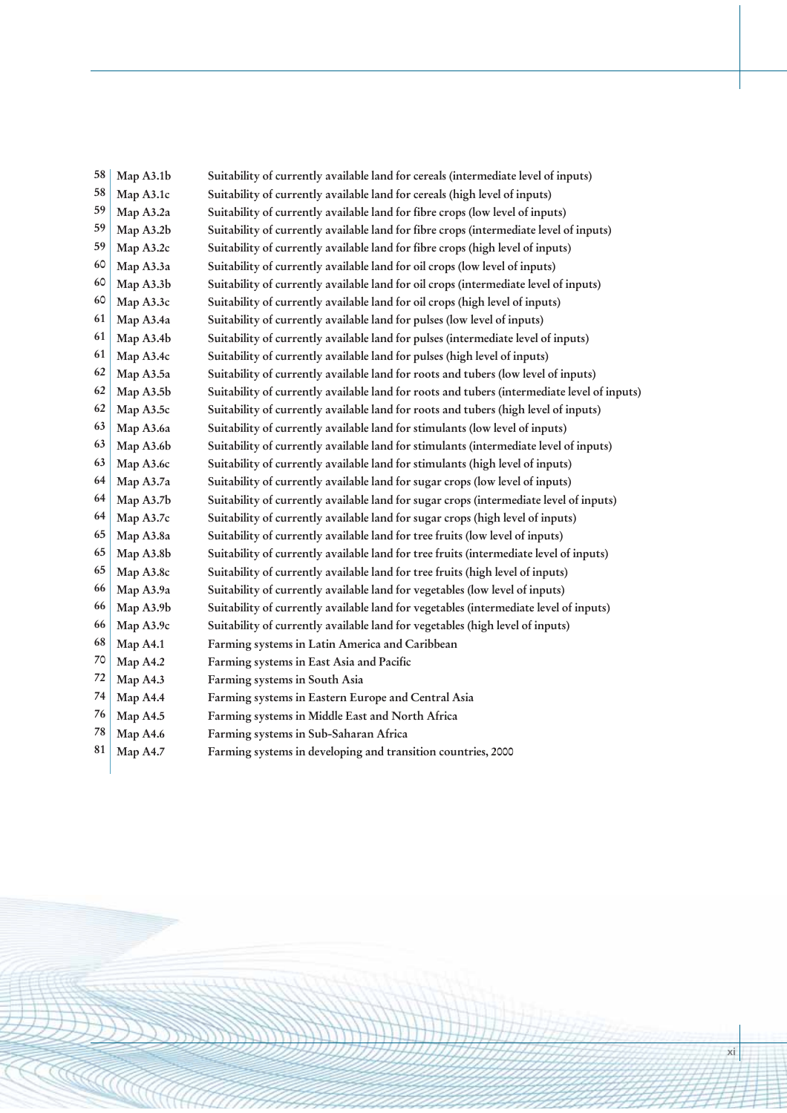| 58 | Map A3.1b | Suitability of currently available land for cereals (intermediate level of inputs)          |
|----|-----------|---------------------------------------------------------------------------------------------|
| 58 | Map A3.1c | Suitability of currently available land for cereals (high level of inputs)                  |
| 59 | Map A3.2a | Suitability of currently available land for fibre crops (low level of inputs)               |
| 59 | Map A3.2b | Suitability of currently available land for fibre crops (intermediate level of inputs)      |
| 59 | Map A3.2c | Suitability of currently available land for fibre crops (high level of inputs)              |
| 60 | Map A3.3a | Suitability of currently available land for oil crops (low level of inputs)                 |
| 60 | Map A3.3b | Suitability of currently available land for oil crops (intermediate level of inputs)        |
| 60 | Map A3.3c | Suitability of currently available land for oil crops (high level of inputs)                |
| 61 | Map A3.4a | Suitability of currently available land for pulses (low level of inputs)                    |
| 61 | Map A3.4b | Suitability of currently available land for pulses (intermediate level of inputs)           |
| 61 | Map A3.4c | Suitability of currently available land for pulses (high level of inputs)                   |
| 62 | Map A3.5a | Suitability of currently available land for roots and tubers (low level of inputs)          |
| 62 | Map A3.5b | Suitability of currently available land for roots and tubers (intermediate level of inputs) |
| 62 | Map A3.5c | Suitability of currently available land for roots and tubers (high level of inputs)         |
| 63 | Map A3.6a | Suitability of currently available land for stimulants (low level of inputs)                |
| 63 | Map A3.6b | Suitability of currently available land for stimulants (intermediate level of inputs)       |
| 63 | Map A3.6c | Suitability of currently available land for stimulants (high level of inputs)               |
| 64 | Map A3.7a | Suitability of currently available land for sugar crops (low level of inputs)               |
| 64 | Map A3.7b | Suitability of currently available land for sugar crops (intermediate level of inputs)      |
| 64 | Map A3.7c | Suitability of currently available land for sugar crops (high level of inputs)              |
| 65 | Map A3.8a | Suitability of currently available land for tree fruits (low level of inputs)               |
| 65 | Map A3.8b | Suitability of currently available land for tree fruits (intermediate level of inputs)      |
| 65 | Map A3.8c | Suitability of currently available land for tree fruits (high level of inputs)              |
| 66 | Map A3.9a | Suitability of currently available land for vegetables (low level of inputs)                |
| 66 | Map A3.9b | Suitability of currently available land for vegetables (intermediate level of inputs)       |
| 66 | Map A3.9c | Suitability of currently available land for vegetables (high level of inputs)               |
| 68 | Map A4.1  | Farming systems in Latin America and Caribbean                                              |
| 70 | Map A4.2  | Farming systems in East Asia and Pacific                                                    |
| 72 | Map A4.3  | Farming systems in South Asia                                                               |
| 74 | Map A4.4  | Farming systems in Eastern Europe and Central Asia                                          |
| 76 | Map A4.5  | Farming systems in Middle East and North Africa                                             |
| 78 | Map A4.6  | Farming systems in Sub-Saharan Africa                                                       |
| 81 | Map A4.7  | Farming systems in developing and transition countries, 2000                                |
|    |           |                                                                                             |

KALAHANG KA

**xi**